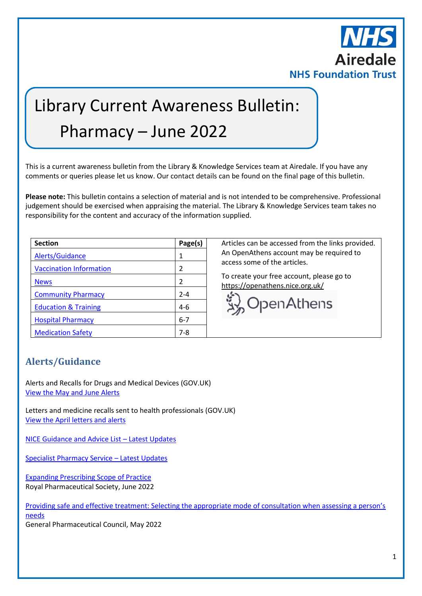

# Library Current Awareness Bulletin: Pharmacy – June 2022

This is a current awareness bulletin from the Library & Knowledge Services team at Airedale. If you have any comments or queries please let us know. Our contact details can be found on the final page of this bulletin.

**Please note:** This bulletin contains a selection of material and is not intended to be comprehensive. Professional judgement should be exercised when appraising the material. The Library & Knowledge Services team takes no responsibility for the content and accuracy of the information supplied.

| <b>Section</b>                  | Page(s)       |
|---------------------------------|---------------|
| Alerts/Guidance                 | 1             |
| <b>Vaccination Information</b>  | $\mathfrak z$ |
| <b>News</b>                     | 2             |
| <b>Community Pharmacy</b>       | $2 - 4$       |
| <b>Education &amp; Training</b> | $4-6$         |
| <b>Hospital Pharmacy</b>        | $6 - 7$       |
| <b>Medication Safety</b>        | $7 - 8$       |

Articles can be accessed from the links provided. An OpenAthens account may be required to access some of the articles.

To create your free account, please go to <https://openathens.nice.org.uk/>



# <span id="page-0-0"></span>**Alerts/Guidance**

Alerts and Recalls for Drugs and Medical Devices (GOV.UK) [View the May and June](https://www.gov.uk/drug-device-alerts?issued_date%5Bfrom%5D=30/4/2022) Alerts

Letters and medicine recalls sent to health professionals (GOV.UK) [View the April letters and alerts](https://www.gov.uk/drug-safety-update/letters-and-medicine-recalls-sent-to-healthcare-professionals-in-april-2022)

NICE [Guidance and Advice List](https://www.nice.org.uk/guidance/published?from=2022-04-01&to=2022-06-30) – Latest Updates

[Specialist Pharmacy Service](https://www.sps.nhs.uk/?s=&orderby=&order=DESC&cat%5B%5D=3601) – Latest Updates

[Expanding Prescribing Scope of Practice](https://www.rpharms.com/resources/frameworks/prescribing-competency-framework/supporting-tools/expanding-prescribing-scope-of-practice) Royal Pharmaceutical Society, June 2022

Providing safe and effecti[ve treatment: Selecting the appropriate mode of consultation when assessing a person's](https://www.pharmacyregulation.org/news/providing-safe-and-effective-treatment-selecting-appropriate-mode-consultation-when-assessing)  [needs](https://www.pharmacyregulation.org/news/providing-safe-and-effective-treatment-selecting-appropriate-mode-consultation-when-assessing) General Pharmaceutical Council, May 2022

1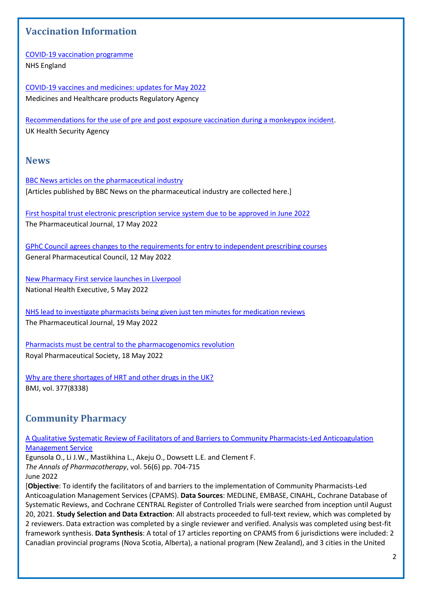# <span id="page-1-0"></span>**Vaccination Information**

[COVID-19 vaccination programme](https://www.england.nhs.uk/coronavirus/covid-19-vaccination-programme/) NHS England

[COVID-19 vaccines and medicines: updates for May](https://www.gov.uk/drug-safety-update/covid-19-vaccines-and-medicines-updates-for-may-2022) 2022 Medicines and Healthcare products Regulatory Agency

[Recommendations for the use of pre and post exposure vaccination during a monkeypox incident.](https://www.gov.uk/government/publications/monkeypox-vaccination) UK Health Security Agency

## <span id="page-1-1"></span>**News**

[BBC News articles on the pharmaceutical industry](https://www.bbc.co.uk/news/topics/cg1lkvgedv8t/pharmaceutical-industry) [Articles published by BBC News on the pharmaceutical industry are collected here.]

[First hospital trust electronic prescription service system due to be approved in June 2022](https://pharmaceutical-journal.com/article/news/first-hospital-trust-electronic-prescription-service-system-due-to-be-approved-in-june-2022) The Pharmaceutical Journal, 17 May 2022

[GPhC Council agrees changes to the requirements for entry to independent prescribing courses](https://www.pharmacyregulation.org/news/gphc-council-agrees-changes-requirements-entry-independent-prescribing-courses-courses) General Pharmaceutical Council, 12 May 2022

[New Pharmacy First service launches in Liverpool](https://www.nationalhealthexecutive.com/articles/nhs-liverpool-pharmacy-first) National Health Executive, 5 May 2022

[NHS lead to investigate pharmacists being given just ten minutes for medication reviews](https://pharmaceutical-journal.com/article/news/nhs-lead-to-investigate-pharmacists-being-given-just-ten-minutes-for-medication-reviews) The Pharmaceutical Journal, 19 May 2022

[Pharmacists must be central to the pharmacogenomics revolution](https://www.rpharms.com/about-us/news/details/pharmacists-must-be-central-to-the-pharmacogenomics-revolution) Royal Pharmaceutical Society, 18 May 2022

[Why are there shortages of HRT and other drugs in the UK?](https://www.bmj.com/content/377/bmj.o1183) BMJ, vol. 377(8338)

# <span id="page-1-2"></span>**Community Pharmacy**

[A Qualitative Systematic Review of Facilitators of and Barriers to Community Pharmacists-Led Anticoagulation](https://libkey.io/libraries/2554/10.1177/10600280211045075)  [Management Service](https://libkey.io/libraries/2554/10.1177/10600280211045075)

Egunsola O., Li J.W., Mastikhina L., Akeju O., Dowsett L.E. and Clement F. *The Annals of Pharmacotherapy*, vol. 56(6) pp. 704-715 June 2022

[**Objective**: To identify the facilitators of and barriers to the implementation of Community Pharmacists-Led Anticoagulation Management Services (CPAMS). **Data Sources**: MEDLINE, EMBASE, CINAHL, Cochrane Database of Systematic Reviews, and Cochrane CENTRAL Register of Controlled Trials were searched from inception until August 20, 2021. **Study Selection and Data Extraction**: All abstracts proceeded to full-text review, which was completed by 2 reviewers. Data extraction was completed by a single reviewer and verified. Analysis was completed using best-fit framework synthesis. **Data Synthesis**: A total of 17 articles reporting on CPAMS from 6 jurisdictions were included: 2 Canadian provincial programs (Nova Scotia, Alberta), a national program (New Zealand), and 3 cities in the United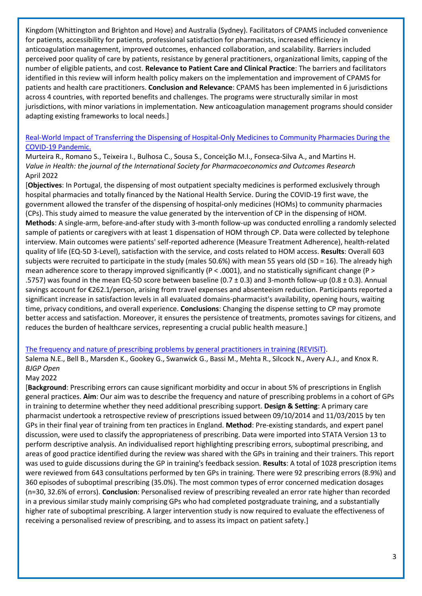Kingdom (Whittington and Brighton and Hove) and Australia (Sydney). Facilitators of CPAMS included convenience for patients, accessibility for patients, professional satisfaction for pharmacists, increased efficiency in anticoagulation management, improved outcomes, enhanced collaboration, and scalability. Barriers included perceived poor quality of care by patients, resistance by general practitioners, organizational limits, capping of the number of eligible patients, and cost. **Relevance to Patient Care and Clinical Practice**: The barriers and facilitators identified in this review will inform health policy makers on the implementation and improvement of CPAMS for patients and health care practitioners. **Conclusion and Relevance**: CPAMS has been implemented in 6 jurisdictions across 4 countries, with reported benefits and challenges. The programs were structurally similar in most jurisdictions, with minor variations in implementation. New anticoagulation management programs should consider adapting existing frameworks to local needs.]

### [Real-World Impact of Transferring the Dispensing of Hospital-Only Medicines to Community Pharmacies During the](https://www.sciencedirect.com/science/article/pii/S1098301522001462)  [COVID-19 Pandemic.](https://www.sciencedirect.com/science/article/pii/S1098301522001462)

Murteira R., Romano S., Teixeira I., Bulhosa C., Sousa S., Conceição M.I., Fonseca-Silva A., and Martins H. *Value in Health: the journal of the International Society for Pharmacoeconomics and Outcomes Research* April 2022

[**Objectives**: In Portugal, the dispensing of most outpatient specialty medicines is performed exclusively through hospital pharmacies and totally financed by the National Health Service. During the COVID-19 first wave, the government allowed the transfer of the dispensing of hospital-only medicines (HOMs) to community pharmacies (CPs). This study aimed to measure the value generated by the intervention of CP in the dispensing of HOM. **Methods**: A single-arm, before-and-after study with 3-month follow-up was conducted enrolling a randomly selected sample of patients or caregivers with at least 1 dispensation of HOM through CP. Data were collected by telephone interview. Main outcomes were patients' self-reported adherence (Measure Treatment Adherence), health-related quality of life (EQ-5D 3-Level), satisfaction with the service, and costs related to HOM access. **Results**: Overall 603 subjects were recruited to participate in the study (males 50.6%) with mean 55 years old (SD = 16). The already high mean adherence score to therapy improved significantly (P < .0001), and no statistically significant change (P > .5757) was found in the mean EQ-5D score between baseline ( $0.7 \pm 0.3$ ) and 3-month follow-up ( $0.8 \pm 0.3$ ). Annual savings account for €262.1/person, arising from travel expenses and absenteeism reduction. Participants reported a significant increase in satisfaction levels in all evaluated domains-pharmacist's availability, opening hours, waiting time, privacy conditions, and overall experience. **Conclusions**: Changing the dispense setting to CP may promote better access and satisfaction. Moreover, it ensures the persistence of treatments, promotes savings for citizens, and reduces the burden of healthcare services, representing a crucial public health measure.]

#### [The frequency and nature of prescribing problems by general practitioners in training \(REVISiT\).](https://bjgpopen.org/content/early/2022/05/05/BJGPO.2021.0231)

Salema N.E., Bell B., Marsden K., Gookey G., Swanwick G., Bassi M., Mehta R., Silcock N., Avery A.J., and Knox R. *BJGP Open*

### May 2022

[**Background**: Prescribing errors can cause significant morbidity and occur in about 5% of prescriptions in English general practices. **Aim**: Our aim was to describe the frequency and nature of prescribing problems in a cohort of GPs in training to determine whether they need additional prescribing support. **Design & Setting**: A primary care pharmacist undertook a retrospective review of prescriptions issued between 09/10/2014 and 11/03/2015 by ten GPs in their final year of training from ten practices in England. **Method**: Pre-existing standards, and expert panel discussion, were used to classify the appropriateness of prescribing. Data were imported into STATA Version 13 to perform descriptive analysis. An individualised report highlighting prescribing errors, suboptimal prescribing, and areas of good practice identified during the review was shared with the GPs in training and their trainers. This report was used to guide discussions during the GP in training's feedback session. **Results**: A total of 1028 prescription items were reviewed from 643 consultations performed by ten GPs in training. There were 92 prescribing errors (8.9%) and 360 episodes of suboptimal prescribing (35.0%). The most common types of error concerned medication dosages (n=30, 32.6% of errors). **Conclusion**: Personalised review of prescribing revealed an error rate higher than recorded in a previous similar study mainly comprising GPs who had completed postgraduate training, and a substantially higher rate of suboptimal prescribing. A larger intervention study is now required to evaluate the effectiveness of receiving a personalised review of prescribing, and to assess its impact on patient safety.]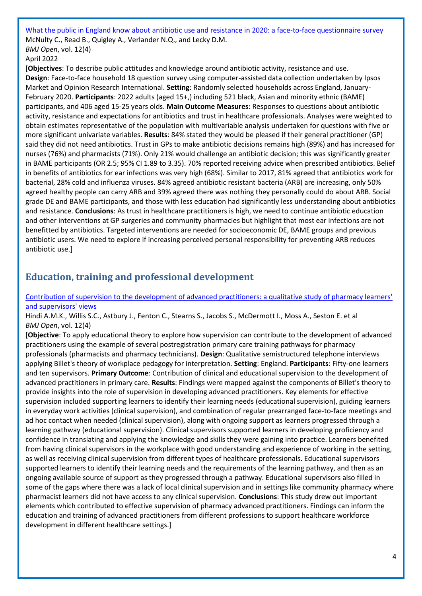[What the public in England know about antibiotic use and resistance in 2020: a face-to-face questionnaire survey](https://bmjopen.bmj.com/content/12/4/e055464) McNulty C., Read B., Quigley A., Verlander N.Q., and Lecky D.M. *BMJ Open*, vol. 12(4) April 2022

[**Objectives**: To describe public attitudes and knowledge around antibiotic activity, resistance and use. **Design**: Face-to-face household 18 question survey using computer-assisted data collection undertaken by Ipsos Market and Opinion Research International. **Setting**: Randomly selected households across England, January-February 2020. **Participants**: 2022 adults (aged 15+,) including 521 black, Asian and minority ethnic (BAME) participants, and 406 aged 15-25 years olds. **Main Outcome Measures**: Responses to questions about antibiotic activity, resistance and expectations for antibiotics and trust in healthcare professionals. Analyses were weighted to obtain estimates representative of the population with multivariable analysis undertaken for questions with five or more significant univariate variables. **Results**: 84% stated they would be pleased if their general practitioner (GP) said they did not need antibiotics. Trust in GPs to make antibiotic decisions remains high (89%) and has increased for nurses (76%) and pharmacists (71%). Only 21% would challenge an antibiotic decision; this was significantly greater in BAME participants (OR 2.5; 95% CI 1.89 to 3.35). 70% reported receiving advice when prescribed antibiotics. Belief in benefits of antibiotics for ear infections was very high (68%). Similar to 2017, 81% agreed that antibiotics work for bacterial, 28% cold and influenza viruses. 84% agreed antibiotic resistant bacteria (ARB) are increasing, only 50% agreed healthy people can carry ARB and 39% agreed there was nothing they personally could do about ARB. Social grade DE and BAME participants, and those with less education had significantly less understanding about antibiotics and resistance. **Conclusions**: As trust in healthcare practitioners is high, we need to continue antibiotic education and other interventions at GP surgeries and community pharmacies but highlight that most ear infections are not benefitted by antibiotics. Targeted interventions are needed for socioeconomic DE, BAME groups and previous antibiotic users. We need to explore if increasing perceived personal responsibility for preventing ARB reduces antibiotic use.]

# <span id="page-3-0"></span>**Education, training and professional development**

[Contribution of supervision to the development of advanced practitioners: a qualitative study of pharmacy learners'](https://bmjopen.bmj.com/content/12/4/e059026)  [and supervisors' views](https://bmjopen.bmj.com/content/12/4/e059026)

Hindi A.M.K., Willis S.C., Astbury J., Fenton C., Stearns S., Jacobs S., McDermott I., Moss A., Seston E. et al *BMJ Open*, vol. 12(4)

[**Objective**: To apply educational theory to explore how supervision can contribute to the development of advanced practitioners using the example of several postregistration primary care training pathways for pharmacy professionals (pharmacists and pharmacy technicians). **Design**: Qualitative semistructured telephone interviews applying Billet's theory of workplace pedagogy for interpretation. **Setting**: England. **Participants**: Fifty-one learners and ten supervisors. **Primary Outcome**: Contribution of clinical and educational supervision to the development of advanced practitioners in primary care. **Results**: Findings were mapped against the components of Billet's theory to provide insights into the role of supervision in developing advanced practitioners. Key elements for effective supervision included supporting learners to identify their learning needs (educational supervision), guiding learners in everyday work activities (clinical supervision), and combination of regular prearranged face-to-face meetings and ad hoc contact when needed (clinical supervision), along with ongoing support as learners progressed through a learning pathway (educational supervision). Clinical supervisors supported learners in developing proficiency and confidence in translating and applying the knowledge and skills they were gaining into practice. Learners benefited from having clinical supervisors in the workplace with good understanding and experience of working in the setting, as well as receiving clinical supervision from different types of healthcare professionals. Educational supervisors supported learners to identify their learning needs and the requirements of the learning pathway, and then as an ongoing available source of support as they progressed through a pathway. Educational supervisors also filled in some of the gaps where there was a lack of local clinical supervision and in settings like community pharmacy where pharmacist learners did not have access to any clinical supervision. **Conclusions**: This study drew out important elements which contributed to effective supervision of pharmacy advanced practitioners. Findings can inform the education and training of advanced practitioners from different professions to support healthcare workforce development in different healthcare settings.]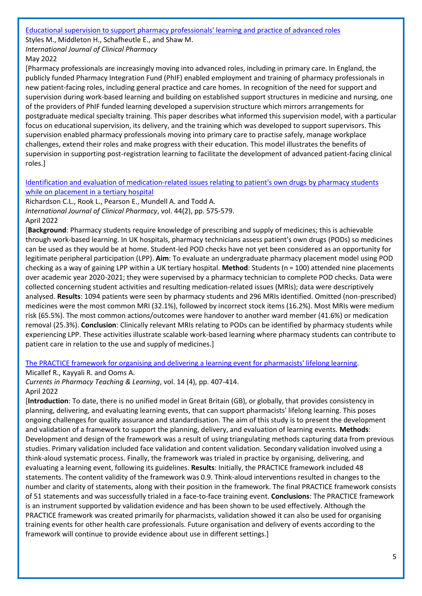#### [Educational supervision to support pharmacy professionals' learning and practice of advanced roles](https://link.springer.com/article/10.1007/s11096-022-01421-8)

Styles M., Middleton H., Schafheutle E., and Shaw M.

*International Journal of Clinical Pharmacy* May 2022

[Pharmacy professionals are increasingly moving into advanced roles, including in primary care. In England, the publicly funded Pharmacy Integration Fund (PhIF) enabled employment and training of pharmacy professionals in new patient-facing roles, including general practice and care homes. In recognition of the need for support and supervision during work-based learning and building on established support structures in medicine and nursing, one of the providers of PhIF funded learning developed a supervision structure which mirrors arrangements for postgraduate medical specialty training. This paper describes what informed this supervision model, with a particular focus on educational supervision, its delivery, and the training which was developed to support supervisors. This supervision enabled pharmacy professionals moving into primary care to practise safely, manage workplace challenges, extend their roles and make progress with their education. This model illustrates the benefits of supervision in supporting post-registration learning to facilitate the development of advanced patient-facing clinical roles.]

## [Identification and evaluation of medication-related issues relating to patient's own drugs by pharmacy students](https://libkey.io/libraries/2554/10.1007/s11096-021-01370-8)  [while on placement in a tertiary hospital](https://libkey.io/libraries/2554/10.1007/s11096-021-01370-8)

Richardson C.L., Rook L., Pearson E., Mundell A. and Todd A. *International Journal of Clinical Pharmacy*, vol. 44(2), pp. 575-579. April 2022

[**Background**: Pharmacy students require knowledge of prescribing and supply of medicines; this is achievable through work-based learning. In UK hospitals, pharmacy technicians assess patient's own drugs (PODs) so medicines can be used as they would be at home. Student-led POD checks have not yet been considered as an opportunity for legitimate peripheral participation (LPP). **Aim**: To evaluate an undergraduate pharmacy placement model using POD checking as a way of gaining LPP within a UK tertiary hospital. **Method**: Students (n = 100) attended nine placements over academic year 2020-2021; they were supervised by a pharmacy technician to complete POD checks. Data were collected concerning student activities and resulting medication-related issues (MRIs); data were descriptively analysed. **Results**: 1094 patients were seen by pharmacy students and 296 MRIs identified. Omitted (non-prescribed) medicines were the most common MRI (32.1%), followed by incorrect stock items (16.2%). Most MRIs were medium risk (65.5%). The most common actions/outcomes were handover to another ward member (41.6%) or medication removal (25.3%). **Conclusion**: Clinically relevant MRIs relating to PODs can be identified by pharmacy students while experiencing LPP. These activities illustrate scalable work-based learning where pharmacy students can contribute to patient care in relation to the use and supply of medicines.]

## [The PRACTICE framework for organising and delivering a learning event for pharmacists' lifelong learning.](https://www.sciencedirect.com/science/article/pii/S1877129722000545)

Micallef R., Kayyali R. and Ooms A.

*Currents in Pharmacy Teaching & Learning*, vol. 14 (4), pp. 407-414. April 2022

[**Introduction**: To date, there is no unified model in Great Britain (GB), or globally, that provides consistency in planning, delivering, and evaluating learning events, that can support pharmacists' lifelong learning. This poses ongoing challenges for quality assurance and standardisation. The aim of this study is to present the development and validation of a framework to support the planning, delivery, and evaluation of learning events. **Methods**: Development and design of the framework was a result of using triangulating methods capturing data from previous studies. Primary validation included face validation and content validation. Secondary validation involved using a think-aloud systematic process. Finally, the framework was trialed in practice by organising, delivering, and evaluating a learning event, following its guidelines. **Results**: Initially, the PRACTICE framework included 48 statements. The content validity of the framework was 0.9. Think-aloud interventions resulted in changes to the number and clarity of statements, along with their position in the framework. The final PRACTICE framework consists of 51 statements and was successfully trialed in a face-to-face training event. **Conclusions**: The PRACTICE framework is an instrument supported by validation evidence and has been shown to be used effectively. Although the PRACTICE framework was created primarily for pharmacists, validation showed it can also be used for organising training events for other health care professionals. Future organisation and delivery of events according to the framework will continue to provide evidence about use in different settings.]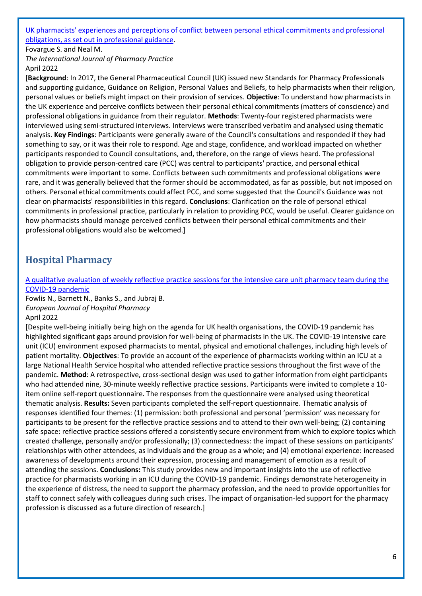#### [UK pharmacists' experiences and perceptions of conflict between personal ethical commitments and professional](https://libkey.io/libraries/2554/10.1093/ijpp/riac022)  [obligations, as set out in professional guidance.](https://libkey.io/libraries/2554/10.1093/ijpp/riac022)

Fovargue S. and Neal M.

*The International Journal of Pharmacy Practice* April 2022

[**Background**: In 2017, the General Pharmaceutical Council (UK) issued new Standards for Pharmacy Professionals and supporting guidance, Guidance on Religion, Personal Values and Beliefs, to help pharmacists when their religion, personal values or beliefs might impact on their provision of services. **Objective**: To understand how pharmacists in the UK experience and perceive conflicts between their personal ethical commitments (matters of conscience) and professional obligations in guidance from their regulator. **Methods**: Twenty-four registered pharmacists were interviewed using semi-structured interviews. Interviews were transcribed verbatim and analysed using thematic analysis. **Key Findings**: Participants were generally aware of the Council's consultations and responded if they had something to say, or it was their role to respond. Age and stage, confidence, and workload impacted on whether participants responded to Council consultations, and, therefore, on the range of views heard. The professional obligation to provide person-centred care (PCC) was central to participants' practice, and personal ethical commitments were important to some. Conflicts between such commitments and professional obligations were rare, and it was generally believed that the former should be accommodated, as far as possible, but not imposed on others. Personal ethical commitments could affect PCC, and some suggested that the Council's Guidance was not clear on pharmacists' responsibilities in this regard. **Conclusions**: Clarification on the role of personal ethical commitments in professional practice, particularly in relation to providing PCC, would be useful. Clearer guidance on how pharmacists should manage perceived conflicts between their personal ethical commitments and their professional obligations would also be welcomed.]

# <span id="page-5-0"></span>**Hospital Pharmacy**

## [A qualitative evaluation of weekly reflective practice sessions for the intensive care unit pharmacy team during the](https://ejhp.bmj.com/content/early/2022/04/14/ejhpharm-2021-003164)  [COVID-19 pandemic](https://ejhp.bmj.com/content/early/2022/04/14/ejhpharm-2021-003164)

Fowlis N., Barnett N., Banks S., and Jubraj B. *European Journal of Hospital Pharmacy* April 2022

[Despite well-being initially being high on the agenda for UK health organisations, the COVID-19 pandemic has highlighted significant gaps around provision for well-being of pharmacists in the UK. The COVID-19 intensive care unit (ICU) environment exposed pharmacists to mental, physical and emotional challenges, including high levels of patient mortality. **Objectives**: To provide an account of the experience of pharmacists working within an ICU at a large National Health Service hospital who attended reflective practice sessions throughout the first wave of the pandemic. **Method**: A retrospective, cross-sectional design was used to gather information from eight participants who had attended nine, 30-minute weekly reflective practice sessions. Participants were invited to complete a 10 item online self-report questionnaire. The responses from the questionnaire were analysed using theoretical thematic analysis. **Results:** Seven participants completed the self-report questionnaire. Thematic analysis of responses identified four themes: (1) permission: both professional and personal 'permission' was necessary for participants to be present for the reflective practice sessions and to attend to their own well-being; (2) containing safe space: reflective practice sessions offered a consistently secure environment from which to explore topics which created challenge, personally and/or professionally; (3) connectedness: the impact of these sessions on participants' relationships with other attendees, as individuals and the group as a whole; and (4) emotional experience: increased awareness of developments around their expression, processing and management of emotion as a result of attending the sessions. **Conclusions:** This study provides new and important insights into the use of reflective practice for pharmacists working in an ICU during the COVID-19 pandemic. Findings demonstrate heterogeneity in the experience of distress, the need to support the pharmacy profession, and the need to provide opportunities for staff to connect safely with colleagues during such crises. The impact of organisation-led support for the pharmacy profession is discussed as a future direction of research.]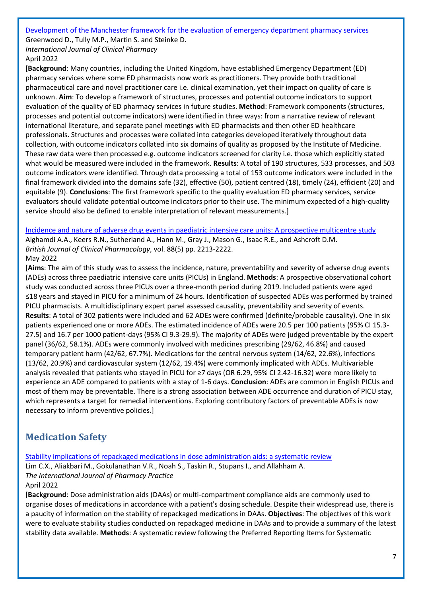[Development of the Manchester framework for the evaluation of emergency department pharmacy services](https://link.springer.com/article/10.1007/s11096-022-01403-w)

Greenwood D., Tully M.P., Martin S. and Steinke D. *International Journal of Clinical Pharmacy* April 2022

[**Background**: Many countries, including the United Kingdom, have established Emergency Department (ED) pharmacy services where some ED pharmacists now work as practitioners. They provide both traditional pharmaceutical care and novel practitioner care i.e. clinical examination, yet their impact on quality of care is unknown. **Aim**: To develop a framework of structures, processes and potential outcome indicators to support evaluation of the quality of ED pharmacy services in future studies. **Method**: Framework components (structures, processes and potential outcome indicators) were identified in three ways: from a narrative review of relevant international literature, and separate panel meetings with ED pharmacists and then other ED healthcare professionals. Structures and processes were collated into categories developed iteratively throughout data collection, with outcome indicators collated into six domains of quality as proposed by the Institute of Medicine. These raw data were then processed e.g. outcome indicators screened for clarity i.e. those which explicitly stated what would be measured were included in the framework. **Results**: A total of 190 structures, 533 processes, and 503 outcome indicators were identified. Through data processing a total of 153 outcome indicators were included in the final framework divided into the domains safe (32), effective (50), patient centred (18), timely (24), efficient (20) and equitable (9). **Conclusions**: The first framework specific to the quality evaluation ED pharmacy services, service evaluators should validate potential outcome indicators prior to their use. The minimum expected of a high-quality service should also be defined to enable interpretation of relevant measurements.]

[Incidence and nature of adverse drug events in paediatric intensive care units: A prospective multicentre study](https://bpspubs.onlinelibrary.wiley.com/doi/10.1111/bcp.15150) Alghamdi A.A., Keers R.N., Sutherland A., Hann M., Gray J., Mason G., Isaac R.E., and Ashcroft D.M.

*British Journal of Clinical Pharmacology*, vol. 88(5) pp. 2213-2222. May 2022

[**Aims**: The aim of this study was to assess the incidence, nature, preventability and severity of adverse drug events (ADEs) across three paediatric intensive care units (PICUs) in England. **Methods**: A prospective observational cohort study was conducted across three PICUs over a three-month period during 2019. Included patients were aged ≤18 years and stayed in PICU for a minimum of 24 hours. Identification of suspected ADEs was performed by trained PICU pharmacists. A multidisciplinary expert panel assessed causality, preventability and severity of events. **Results**: A total of 302 patients were included and 62 ADEs were confirmed (definite/probable causality). One in six patients experienced one or more ADEs. The estimated incidence of ADEs were 20.5 per 100 patients (95% CI 15.3- 27.5) and 16.7 per 1000 patient-days (95% CI 9.3-29.9). The majority of ADEs were judged preventable by the expert panel (36/62, 58.1%). ADEs were commonly involved with medicines prescribing (29/62, 46.8%) and caused temporary patient harm (42/62, 67.7%). Medications for the central nervous system (14/62, 22.6%), infections (13/62, 20.9%) and cardiovascular system (12/62, 19.4%) were commonly implicated with ADEs. Multivariable analysis revealed that patients who stayed in PICU for ≥7 days (OR 6.29, 95% CI 2.42-16.32) were more likely to experience an ADE compared to patients with a stay of 1-6 days. **Conclusion**: ADEs are common in English PICUs and most of them may be preventable. There is a strong association between ADE occurrence and duration of PICU stay, which represents a target for remedial interventions. Exploring contributory factors of preventable ADEs is now necessary to inform preventive policies.]

# <span id="page-6-0"></span>**Medication Safety**

[Stability implications of repackaged medications in dose administration aids: a systematic review](https://libkey.io/libraries/2554/10.1093/ijpp/riac001)

Lim C.X., Aliakbari M., Gokulanathan V.R., Noah S., Taskin R., Stupans I., and Allahham A. *The International Journal of Pharmacy Practice* April 2022

[**Background**: Dose administration aids (DAAs) or multi-compartment compliance aids are commonly used to organise doses of medications in accordance with a patient's dosing schedule. Despite their widespread use, there is a paucity of information on the stability of repackaged medications in DAAs. **Objectives**: The objectives of this work were to evaluate stability studies conducted on repackaged medicine in DAAs and to provide a summary of the latest stability data available. **Methods**: A systematic review following the Preferred Reporting Items for Systematic